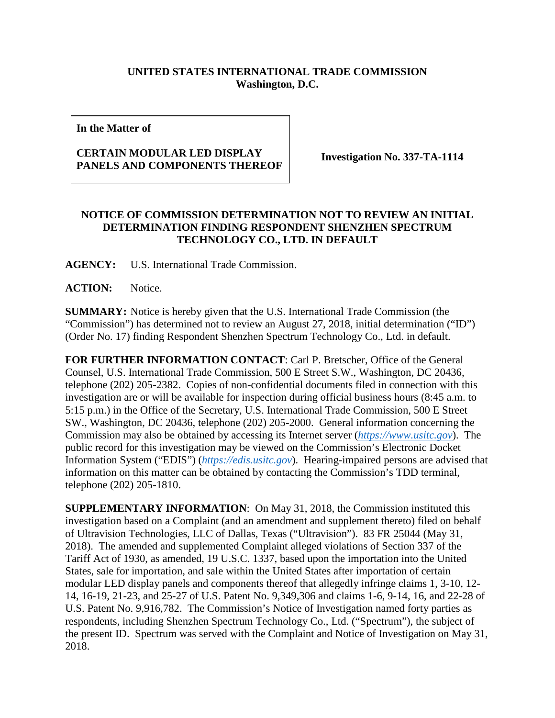## **UNITED STATES INTERNATIONAL TRADE COMMISSION Washington, D.C.**

**In the Matter of**

## **CERTAIN MODULAR LED DISPLAY PANELS AND COMPONENTS THEREOF Investigation No. 337-TA-1114**

## **NOTICE OF COMMISSION DETERMINATION NOT TO REVIEW AN INITIAL DETERMINATION FINDING RESPONDENT SHENZHEN SPECTRUM TECHNOLOGY CO., LTD. IN DEFAULT**

**AGENCY:** U.S. International Trade Commission.

**ACTION:** Notice.

**SUMMARY:** Notice is hereby given that the U.S. International Trade Commission (the "Commission") has determined not to review an August 27, 2018, initial determination ("ID") (Order No. 17) finding Respondent Shenzhen Spectrum Technology Co., Ltd. in default.

**FOR FURTHER INFORMATION CONTACT**: Carl P. Bretscher, Office of the General Counsel, U.S. International Trade Commission, 500 E Street S.W., Washington, DC 20436, telephone (202) 205-2382. Copies of non-confidential documents filed in connection with this investigation are or will be available for inspection during official business hours (8:45 a.m. to 5:15 p.m.) in the Office of the Secretary, U.S. International Trade Commission, 500 E Street SW., Washington, DC 20436, telephone (202) 205-2000. General information concerning the Commission may also be obtained by accessing its Internet server (*[https://www.usitc.gov](https://www.usitc.gov/)*). The public record for this investigation may be viewed on the Commission's Electronic Docket Information System ("EDIS") (*[https://edis.usitc.gov](https://edis.usitc.gov/)*). Hearing-impaired persons are advised that information on this matter can be obtained by contacting the Commission's TDD terminal, telephone (202) 205-1810.

**SUPPLEMENTARY INFORMATION**: On May 31, 2018, the Commission instituted this investigation based on a Complaint (and an amendment and supplement thereto) filed on behalf of Ultravision Technologies, LLC of Dallas, Texas ("Ultravision"). 83 FR 25044 (May 31, 2018). The amended and supplemented Complaint alleged violations of Section 337 of the Tariff Act of 1930, as amended, 19 U.S.C. 1337, based upon the importation into the United States, sale for importation, and sale within the United States after importation of certain modular LED display panels and components thereof that allegedly infringe claims 1, 3-10, 12- 14, 16-19, 21-23, and 25-27 of U.S. Patent No. 9,349,306 and claims 1-6, 9-14, 16, and 22-28 of U.S. Patent No. 9,916,782. The Commission's Notice of Investigation named forty parties as respondents, including Shenzhen Spectrum Technology Co., Ltd. ("Spectrum"), the subject of the present ID. Spectrum was served with the Complaint and Notice of Investigation on May 31, 2018.